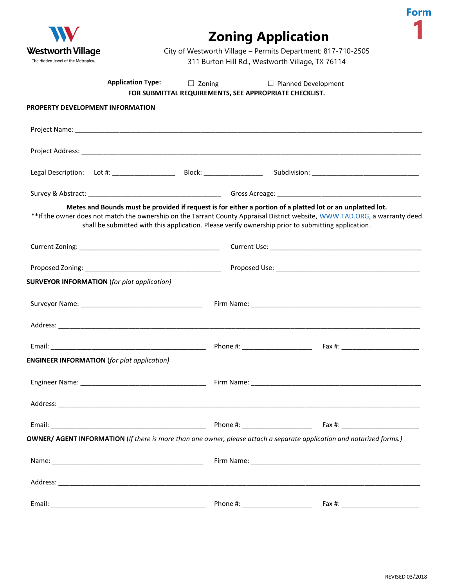

## **Zoning Application**



City of Westworth Village – Permits Department: 817-710-2505 311 Burton Hill Rd., Westworth Village, TX 76114

|                                                    | <b>Application Type:</b> | $\Box$ Zoning<br>FOR SUBMITTAL REQUIREMENTS, SEE APPROPRIATE CHECKLIST. |  | $\Box$ Planned Development                                                                                                                                                                                                                                                                                                                     |  |
|----------------------------------------------------|--------------------------|-------------------------------------------------------------------------|--|------------------------------------------------------------------------------------------------------------------------------------------------------------------------------------------------------------------------------------------------------------------------------------------------------------------------------------------------|--|
| PROPERTY DEVELOPMENT INFORMATION                   |                          |                                                                         |  |                                                                                                                                                                                                                                                                                                                                                |  |
|                                                    |                          |                                                                         |  |                                                                                                                                                                                                                                                                                                                                                |  |
|                                                    |                          |                                                                         |  |                                                                                                                                                                                                                                                                                                                                                |  |
|                                                    |                          |                                                                         |  |                                                                                                                                                                                                                                                                                                                                                |  |
|                                                    |                          |                                                                         |  |                                                                                                                                                                                                                                                                                                                                                |  |
|                                                    |                          |                                                                         |  | Metes and Bounds must be provided if request is for either a portion of a platted lot or an unplatted lot.<br>**If the owner does not match the ownership on the Tarrant County Appraisal District website, WWW.TAD.ORG, a warranty deed<br>shall be submitted with this application. Please verify ownership prior to submitting application. |  |
|                                                    |                          |                                                                         |  |                                                                                                                                                                                                                                                                                                                                                |  |
|                                                    |                          |                                                                         |  |                                                                                                                                                                                                                                                                                                                                                |  |
| <b>SURVEYOR INFORMATION</b> (for plat application) |                          |                                                                         |  |                                                                                                                                                                                                                                                                                                                                                |  |
|                                                    |                          |                                                                         |  |                                                                                                                                                                                                                                                                                                                                                |  |
|                                                    |                          |                                                                         |  |                                                                                                                                                                                                                                                                                                                                                |  |
|                                                    |                          |                                                                         |  |                                                                                                                                                                                                                                                                                                                                                |  |
| <b>ENGINEER INFORMATION</b> (for plat application) |                          |                                                                         |  |                                                                                                                                                                                                                                                                                                                                                |  |
|                                                    |                          |                                                                         |  |                                                                                                                                                                                                                                                                                                                                                |  |
| Address:                                           |                          |                                                                         |  |                                                                                                                                                                                                                                                                                                                                                |  |
|                                                    |                          |                                                                         |  |                                                                                                                                                                                                                                                                                                                                                |  |
|                                                    |                          |                                                                         |  | OWNER/ AGENT INFORMATION (If there is more than one owner, please attach a separate application and notarized forms.)                                                                                                                                                                                                                          |  |
|                                                    |                          |                                                                         |  |                                                                                                                                                                                                                                                                                                                                                |  |
|                                                    |                          |                                                                         |  |                                                                                                                                                                                                                                                                                                                                                |  |
|                                                    |                          |                                                                         |  |                                                                                                                                                                                                                                                                                                                                                |  |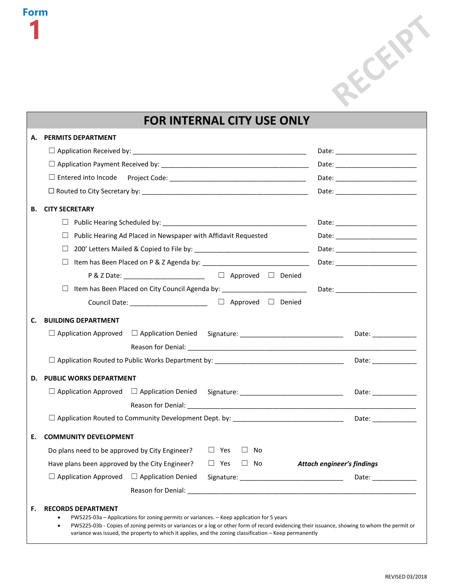

## **FOR INTERNAL CITY USE ONLY**

| А. | <b>PERMITS DEPARTMENT</b>                                                                                                                                                                                                                                                                                                                                                                   |    |                                  |                       |
|----|---------------------------------------------------------------------------------------------------------------------------------------------------------------------------------------------------------------------------------------------------------------------------------------------------------------------------------------------------------------------------------------------|----|----------------------------------|-----------------------|
|    |                                                                                                                                                                                                                                                                                                                                                                                             |    |                                  |                       |
|    |                                                                                                                                                                                                                                                                                                                                                                                             |    | Date: __________________________ |                       |
|    |                                                                                                                                                                                                                                                                                                                                                                                             |    |                                  |                       |
|    |                                                                                                                                                                                                                                                                                                                                                                                             |    |                                  |                       |
| В. | <b>CITY SECRETARY</b>                                                                                                                                                                                                                                                                                                                                                                       |    |                                  |                       |
|    | ப                                                                                                                                                                                                                                                                                                                                                                                           |    |                                  |                       |
|    | Public Hearing Ad Placed in Newspaper with Affidavit Requested                                                                                                                                                                                                                                                                                                                              |    |                                  |                       |
|    |                                                                                                                                                                                                                                                                                                                                                                                             |    |                                  |                       |
|    |                                                                                                                                                                                                                                                                                                                                                                                             |    |                                  |                       |
|    | P & Z Date: ____________________________ □ Approved □ Denied                                                                                                                                                                                                                                                                                                                                |    |                                  |                       |
|    |                                                                                                                                                                                                                                                                                                                                                                                             |    |                                  |                       |
|    | Council Date: _______________________ □ Approved □ Denied                                                                                                                                                                                                                                                                                                                                   |    |                                  |                       |
| C. | <b>BUILDING DEPARTMENT</b>                                                                                                                                                                                                                                                                                                                                                                  |    |                                  |                       |
|    | □ Application Approved □ Application Denied Signature: _________________________                                                                                                                                                                                                                                                                                                            |    |                                  | Date: _______________ |
|    |                                                                                                                                                                                                                                                                                                                                                                                             |    |                                  |                       |
|    |                                                                                                                                                                                                                                                                                                                                                                                             |    |                                  |                       |
| D. | <b>PUBLIC WORKS DEPARTMENT</b>                                                                                                                                                                                                                                                                                                                                                              |    |                                  |                       |
|    | □ Application Approved □ Application Denied Signature: _________________________                                                                                                                                                                                                                                                                                                            |    |                                  | Date: _____________   |
|    |                                                                                                                                                                                                                                                                                                                                                                                             |    |                                  |                       |
|    |                                                                                                                                                                                                                                                                                                                                                                                             |    |                                  |                       |
| Е. | <b>COMMUNITY DEVELOPMENT</b>                                                                                                                                                                                                                                                                                                                                                                |    |                                  |                       |
|    | Do plans need to be approved by City Engineer? $\Box$ Yes<br>$\Box$                                                                                                                                                                                                                                                                                                                         | No |                                  |                       |
|    | Have plans been approved by the City Engineer? $\Box$ Yes $\Box$ No <b>Attach engineer's findings</b>                                                                                                                                                                                                                                                                                       |    |                                  |                       |
|    | $\Box$ Application Approved<br>$\Box$ Application Denied                                                                                                                                                                                                                                                                                                                                    |    |                                  | Date: ____________    |
|    |                                                                                                                                                                                                                                                                                                                                                                                             |    |                                  |                       |
| F. | <b>RECORDS DEPARTMENT</b><br>PW5225-03a - Applications for zoning permits or variances. - Keep application for 5 years<br>٠<br>PW5225-03b - Copies of zoning permits or variances or a log or other form of record evidencing their issuance, showing to whom the permit or<br>٠<br>variance was issued, the property to which it applies, and the zoning classification - Keep permanently |    |                                  |                       |